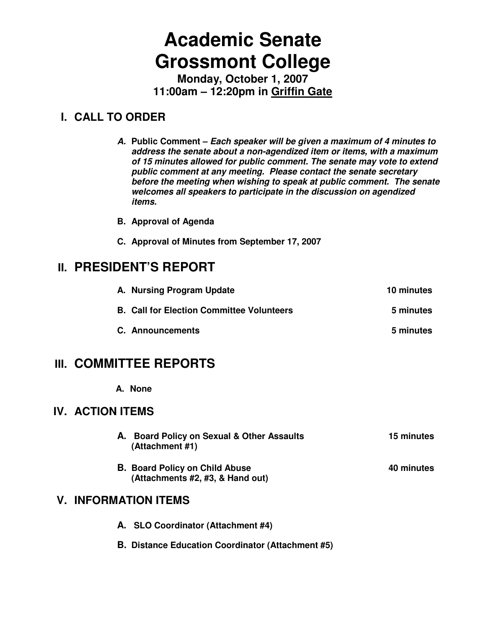# **Academic Senate Grossmont College**

**Monday, October 1, 2007 11:00am – 12:20pm in Griffin Gate**

## **I. CALL TO ORDER**

**A. Public Comment – Each speaker will be given a maximum of 4 minutes to address the senate about a non-agendized item or items, with a maximum of 15 minutes allowed for public comment. The senate may vote to extend public comment at any meeting. Please contact the senate secretary before the meeting when wishing to speak at public comment. The senate welcomes all speakers to participate in the discussion on agendized items.** 

- **B. Approval of Agenda**
- **C. Approval of Minutes from September 17, 2007**

## **II. PRESIDENT'S REPORT**

| A. Nursing Program Update                        | 10 minutes |
|--------------------------------------------------|------------|
| <b>B. Call for Election Committee Volunteers</b> | 5 minutes  |
| <b>C.</b> Announcements                          | 5 minutes  |

## **III. COMMITTEE REPORTS**

**A. None** 

## **IV. ACTION ITEMS**

- **A. Board Policy on Sexual & Other Assaults 15 minutes (Attachment #1)**
- **B. Board Policy on Child Abuse 10 Contract 10 Minutes 10 Minutes 10 Minutes 10 Minutes 10 Minutes 10 Minutes 10 Minutes 10 Minutes 10 Minutes 10 Minutes 10 Minutes 10 Minutes 10 Minutes 10 Minutes 10 Minutes 10 Minutes 10 (Attachments #2, #3, & Hand out)**

## **V. INFORMATION ITEMS**

- **A. SLO Coordinator (Attachment #4)**
- **B. Distance Education Coordinator (Attachment #5)**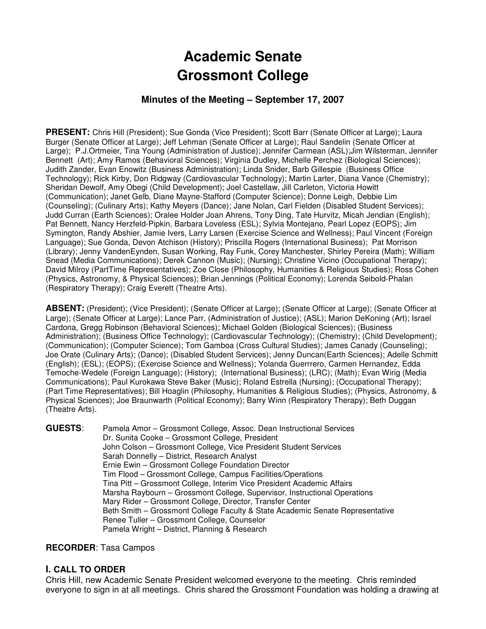# **Academic Senate Grossmont College**

## **Minutes of the Meeting – September 17, 2007**

**PRESENT:** Chris Hill (President); Sue Gonda (Vice President); Scott Barr (Senate Officer at Large); Laura Burger (Senate Officer at Large); Jeff Lehman (Senate Officer at Large); Raul Sandelin (Senate Officer at Large); P.J.Ortmeier, Tina Young (Administration of Justice); Jennifer Carmean (ASL);Jim Wilsterman, Jennifer Bennett (Art); Amy Ramos (Behavioral Sciences); Virginia Dudley, Michelle Perchez (Biological Sciences); Judith Zander, Evan Enowitz (Business Administration); Linda Snider, Barb Gillespie (Business Office Technology); Rick Kirby, Don Ridgway (Cardiovascular Technology); Martin Larter, Diana Vance (Chemistry); Sheridan Dewolf, Amy Obegi (Child Development); Joel Castellaw, Jill Carleton, Victoria Howitt (Communication); Janet Gelb, Diane Mayne-Stafford (Computer Science); Donne Leigh, Debbie Lim (Counseling); (Culinary Arts); Kathy Meyers (Dance); Jane Nolan, Carl Fielden (Disabled Student Services); Judd Curran (Earth Sciences); Oralee Holder Joan Ahrens, Tony Ding, Tate Hurvitz, Micah Jendian (English); Pat Bennett, Nancy Herzfeld-Pipkin, Barbara Loveless (ESL); Sylvia Montejano, Pearl Lopez (EOPS); Jim Symington, Randy Abshier, Jamie Ivers, Larry Larsen (Exercise Science and Wellness); Paul Vincent (Foreign Language); Sue Gonda, Devon Atchison (History); Priscilla Rogers (International Business); Pat Morrison (Library); Jenny VandenEynden, Susan Working, Ray Funk, Corey Manchester, Shirley Pereira (Math); William Snead (Media Communications); Derek Cannon (Music); (Nursing); Christine Vicino (Occupational Therapy); David Milroy (PartTime Representatives); Zoe Close (Philosophy, Humanities & Religious Studies); Ross Cohen (Physics, Astronomy, & Physical Sciences); Brian Jennings (Political Economy); Lorenda Seibold-Phalan (Respiratory Therapy); Craig Everett (Theatre Arts).

**ABSENT:** (President); (Vice President); (Senate Officer at Large); (Senate Officer at Large); (Senate Officer at Large); (Senate Officer at Large); Lance Parr, (Administration of Justice); (ASL); Marion DeKoning (Art); Israel Cardona, Gregg Robinson (Behavioral Sciences); Michael Golden (Biological Sciences); (Business Administration); (Business Office Technology); (Cardiovascular Technology); (Chemistry); (Child Development); (Communication); (Computer Science); Tom Gamboa (Cross Cultural Studies); James Canady (Counseling); Joe Orate (Culinary Arts); (Dance); (Disabled Student Services); Jenny Duncan(Earth Sciences); Adelle Schmitt (English); (ESL); (EOPS); (Exercise Science and Wellness); Yolanda Guerrrero, Carmen Hernandez, Edda Temoche-Wedele (Foreign Language); (History); (International Business); (LRC); (Math); Evan Wirig (Media Communications); Paul Kurokawa Steve Baker (Music); Roland Estrella (Nursing); (Occupational Therapy); (Part Time Representatives); Bill Hoaglin (Philosophy, Humanities & Religious Studies); (Physics, Astronomy, & Physical Sciences); Joe Braunwarth (Political Economy); Barry Winn (Respiratory Therapy); Beth Duggan (Theatre Arts).

**GUESTS**: Pamela Amor – Grossmont College, Assoc. Dean Instructional Services Dr. Sunita Cooke – Grossmont College, President John Colson – Grossmont College, Vice President Student Services Sarah Donnelly – District, Research Analyst Ernie Ewin – Grossmont College Foundation Director Tim Flood – Grossmont College, Campus Facilities/Operations Tina Pitt – Grossmont College, Interim Vice President Academic Affairs Marsha Raybourn – Grossmont College, Supervisor, Instructional Operations Mary Rider – Grossmont College, Director, Transfer Center Beth Smith – Grossmont College Faculty & State Academic Senate Representative Renee Tuller – Grossmont College, Counselor Pamela Wright – District, Planning & Research

#### **RECORDER**: Tasa Campos

## **I. CALL TO ORDER**

Chris Hill, new Academic Senate President welcomed everyone to the meeting. Chris reminded everyone to sign in at all meetings. Chris shared the Grossmont Foundation was holding a drawing at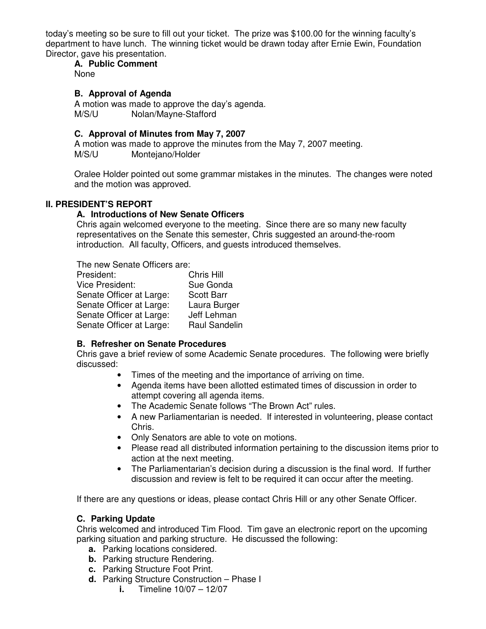today's meeting so be sure to fill out your ticket. The prize was \$100.00 for the winning faculty's department to have lunch. The winning ticket would be drawn today after Ernie Ewin, Foundation Director, gave his presentation.

## **A. Public Comment**

None

## **B. Approval of Agenda**

A motion was made to approve the day's agenda. M/S/U Nolan/Mayne-Stafford

## **C. Approval of Minutes from May 7, 2007**

A motion was made to approve the minutes from the May 7, 2007 meeting. M/S/U Montejano/Holder

Oralee Holder pointed out some grammar mistakes in the minutes. The changes were noted and the motion was approved.

## **II. PRESIDENT'S REPORT**

#### **A. Introductions of New Senate Officers**

Chris again welcomed everyone to the meeting. Since there are so many new faculty representatives on the Senate this semester, Chris suggested an around-the-room introduction. All faculty, Officers, and guests introduced themselves.

| The new Senate Officers are: |                   |
|------------------------------|-------------------|
| President:                   | Chris Hill        |
| <b>Vice President:</b>       | Sue Gonda         |
| Senate Officer at Large:     | <b>Scott Barr</b> |
| Senate Officer at Large:     | Laura Burger      |
| Senate Officer at Large:     | Jeff Lehman       |
| Senate Officer at Large:     | Raul Sandelin     |

## **B. Refresher on Senate Procedures**

Chris gave a brief review of some Academic Senate procedures. The following were briefly discussed:

- Times of the meeting and the importance of arriving on time.
- Agenda items have been allotted estimated times of discussion in order to attempt covering all agenda items.
- The Academic Senate follows "The Brown Act" rules.
- A new Parliamentarian is needed. If interested in volunteering, please contact Chris.
- Only Senators are able to vote on motions.
- Please read all distributed information pertaining to the discussion items prior to action at the next meeting.
- The Parliamentarian's decision during a discussion is the final word. If further discussion and review is felt to be required it can occur after the meeting.

If there are any questions or ideas, please contact Chris Hill or any other Senate Officer.

## **C. Parking Update**

Chris welcomed and introduced Tim Flood. Tim gave an electronic report on the upcoming parking situation and parking structure. He discussed the following:

- **a.** Parking locations considered.
- **b.** Parking structure Rendering.
- **c.** Parking Structure Foot Print.
- **d.** Parking Structure Construction Phase I
	- **i.** Timeline 10/07 12/07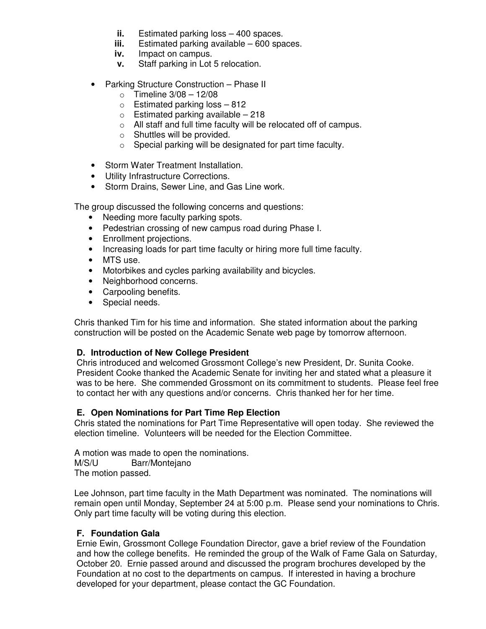- **ii.** Estimated parking loss 400 spaces.
- **iii.** Estimated parking available 600 spaces.
- **iv.** Impact on campus.
- **v.** Staff parking in Lot 5 relocation.
- Parking Structure Construction Phase II
	- $\circ$  Timeline 3/08 12/08
	- $\circ$  Estimated parking loss 812
	- $\circ$  Estimated parking available 218
	- o All staff and full time faculty will be relocated off of campus.
	- o Shuttles will be provided.
	- o Special parking will be designated for part time faculty.
- Storm Water Treatment Installation.
- Utility Infrastructure Corrections.
- Storm Drains, Sewer Line, and Gas Line work.

The group discussed the following concerns and questions:

- Needing more faculty parking spots.
- Pedestrian crossing of new campus road during Phase I.
- Enrollment projections.
- Increasing loads for part time faculty or hiring more full time faculty.
- MTS use.
- Motorbikes and cycles parking availability and bicycles.
- Neighborhood concerns.
- Carpooling benefits.
- Special needs.

Chris thanked Tim for his time and information. She stated information about the parking construction will be posted on the Academic Senate web page by tomorrow afternoon.

## **D. Introduction of New College President**

Chris introduced and welcomed Grossmont College's new President, Dr. Sunita Cooke. President Cooke thanked the Academic Senate for inviting her and stated what a pleasure it was to be here. She commended Grossmont on its commitment to students. Please feel free to contact her with any questions and/or concerns. Chris thanked her for her time.

#### **E. Open Nominations for Part Time Rep Election**

Chris stated the nominations for Part Time Representative will open today. She reviewed the election timeline. Volunteers will be needed for the Election Committee.

A motion was made to open the nominations. M/S/U Barr/Montejano

The motion passed.

Lee Johnson, part time faculty in the Math Department was nominated. The nominations will remain open until Monday, September 24 at 5:00 p.m. Please send your nominations to Chris. Only part time faculty will be voting during this election.

## **F. Foundation Gala**

Ernie Ewin, Grossmont College Foundation Director, gave a brief review of the Foundation and how the college benefits. He reminded the group of the Walk of Fame Gala on Saturday, October 20. Ernie passed around and discussed the program brochures developed by the Foundation at no cost to the departments on campus. If interested in having a brochure developed for your department, please contact the GC Foundation.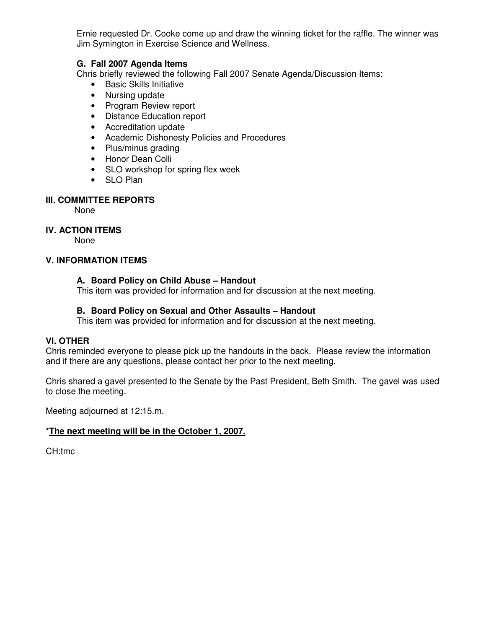Ernie requested Dr. Cooke come up and draw the winning ticket for the raffle. The winner was Jim Symington in Exercise Science and Wellness.

## **G. Fall 2007 Agenda Items**

Chris briefly reviewed the following Fall 2007 Senate Agenda/Discussion Items:

- Basic Skills Initiative
- Nursing update
- Program Review report
- Distance Education report
- Accreditation update
- Academic Dishonesty Policies and Procedures
- Plus/minus grading
- Honor Dean Colli
- SLO workshop for spring flex week
- SLO Plan

#### **III. COMMITTEE REPORTS**

None

## **IV. ACTION ITEMS**

None

#### **V. INFORMATION ITEMS**

#### **A. Board Policy on Child Abuse – Handout**

This item was provided for information and for discussion at the next meeting.

#### **B. Board Policy on Sexual and Other Assaults – Handout**

This item was provided for information and for discussion at the next meeting.

## **VI. OTHER**

Chris reminded everyone to please pick up the handouts in the back. Please review the information and if there are any questions, please contact her prior to the next meeting.

Chris shared a gavel presented to the Senate by the Past President, Beth Smith. The gavel was used to close the meeting.

Meeting adjourned at 12:15.m.

## **\*The next meeting will be in the October 1, 2007.**

CH:tmc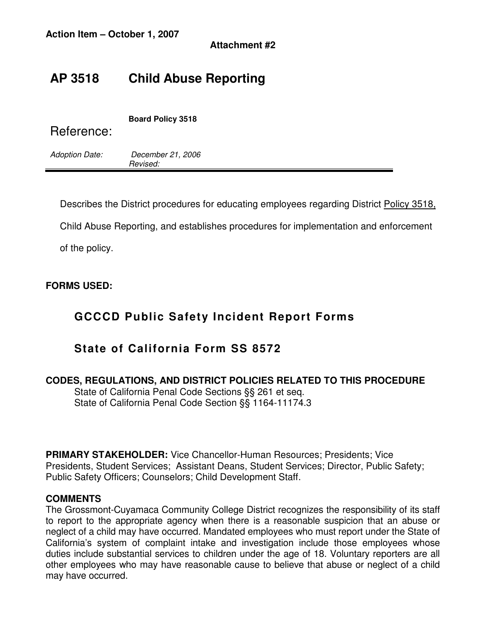## **AP 3518 Child Abuse Reporting**

| Reference:            | <b>Board Policy 3518</b>      |
|-----------------------|-------------------------------|
| <b>Adoption Date:</b> | December 21, 2006<br>Revised: |

Describes the District procedures for educating employees regarding District Policy 3518,

Child Abuse Reporting, and establishes procedures for implementation and enforcement

of the policy.

## **FORMS USED:**

## **GCCCD Public Safety Incident Report Forms**

## **State of California Form SS 8572**

## **CODES, REGULATIONS, AND DISTRICT POLICIES RELATED TO THIS PROCEDURE**

 State of California Penal Code Sections §§ 261 et seq. State of California Penal Code Section §§ 1164-11174.3

**PRIMARY STAKEHOLDER:** Vice Chancellor-Human Resources; Presidents; Vice Presidents, Student Services; Assistant Deans, Student Services; Director, Public Safety; Public Safety Officers; Counselors; Child Development Staff.

## **COMMENTS**

The Grossmont-Cuyamaca Community College District recognizes the responsibility of its staff to report to the appropriate agency when there is a reasonable suspicion that an abuse or neglect of a child may have occurred. Mandated employees who must report under the State of California's system of complaint intake and investigation include those employees whose duties include substantial services to children under the age of 18. Voluntary reporters are all other employees who may have reasonable cause to believe that abuse or neglect of a child may have occurred.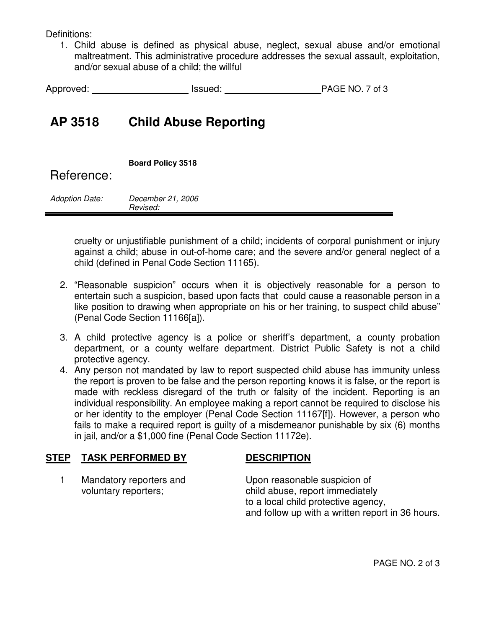Definitions:

1. Child abuse is defined as physical abuse, neglect, sexual abuse and/or emotional maltreatment. This administrative procedure addresses the sexual assault, exploitation, and/or sexual abuse of a child; the willful

| Approved: | Issued: | PAGE NO. 7 of 3 |
|-----------|---------|-----------------|
|-----------|---------|-----------------|

## **AP 3518 Child Abuse Reporting**

| Reference:            | <b>Board Policy 3518</b>      |
|-----------------------|-------------------------------|
| <b>Adoption Date:</b> | December 21, 2006<br>Revised: |

cruelty or unjustifiable punishment of a child; incidents of corporal punishment or injury against a child; abuse in out-of-home care; and the severe and/or general neglect of a child (defined in Penal Code Section 11165).

- 2. "Reasonable suspicion" occurs when it is objectively reasonable for a person to entertain such a suspicion, based upon facts that could cause a reasonable person in a like position to drawing when appropriate on his or her training, to suspect child abuse" (Penal Code Section 11166[a]).
- 3. A child protective agency is a police or sheriff's department, a county probation department, or a county welfare department. District Public Safety is not a child protective agency.
- 4. Any person not mandated by law to report suspected child abuse has immunity unless the report is proven to be false and the person reporting knows it is false, or the report is made with reckless disregard of the truth or falsity of the incident. Reporting is an individual responsibility. An employee making a report cannot be required to disclose his or her identity to the employer (Penal Code Section 11167[f]). However, a person who fails to make a required report is guilty of a misdemeanor punishable by six (6) months in jail, and/or a \$1,000 fine (Penal Code Section 11172e).

## **STEP TASK PERFORMED BY DESCRIPTION**

1 Mandatory reporters and Upon reasonable suspicion of

voluntary reporters; example abuse, report immediately to a local child protective agency, and follow up with a written report in 36 hours.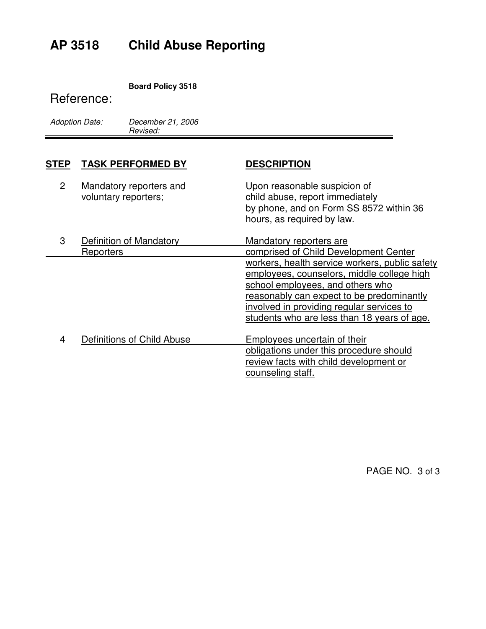# **AP 3518 Child Abuse Reporting**

## **Board Policy 3518**

## Reference:

| <b>Adoption Date:</b> | Decer  |
|-----------------------|--------|
|                       | Revise |

mber 21, 2006 ed:

| <b>STEP</b>    | <b>TASK PERFORMED BY</b>                        | <b>DESCRIPTION</b>                                                                                                                                                                                                                                                        |
|----------------|-------------------------------------------------|---------------------------------------------------------------------------------------------------------------------------------------------------------------------------------------------------------------------------------------------------------------------------|
| $\overline{2}$ | Mandatory reporters and<br>voluntary reporters; | Upon reasonable suspicion of<br>child abuse, report immediately<br>by phone, and on Form SS 8572 within 36<br>hours, as required by law.                                                                                                                                  |
| 3              | Definition of Mandatory<br>Reporters            | <b>Mandatory reporters are</b><br>comprised of Child Development Center                                                                                                                                                                                                   |
|                |                                                 | workers, health service workers, public safety<br>employees, counselors, middle college high<br>school employees, and others who<br>reasonably can expect to be predominantly<br>involved in providing regular services to<br>students who are less than 18 years of age. |
| 4              | Definitions of Child Abuse                      | Employees uncertain of their<br>obligations under this procedure should<br>review facts with child development or<br>counseling staff.                                                                                                                                    |

PAGE NO. 3 of 3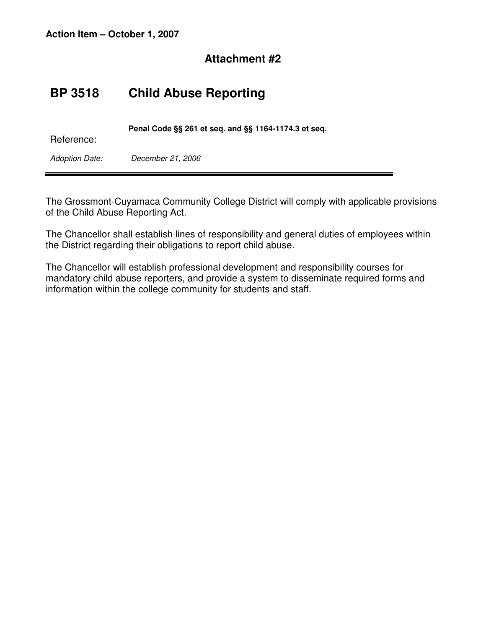## **BP 3518 Child Abuse Reporting**

| Reference:     | Penal Code §§ 261 et seq. and §§ 1164-1174.3 et seq. |  |
|----------------|------------------------------------------------------|--|
| Adoption Date: | December 21, 2006                                    |  |

The Grossmont-Cuyamaca Community College District will comply with applicable provisions of the Child Abuse Reporting Act.

The Chancellor shall establish lines of responsibility and general duties of employees within the District regarding their obligations to report child abuse.

The Chancellor will establish professional development and responsibility courses for mandatory child abuse reporters, and provide a system to disseminate required forms and information within the college community for students and staff.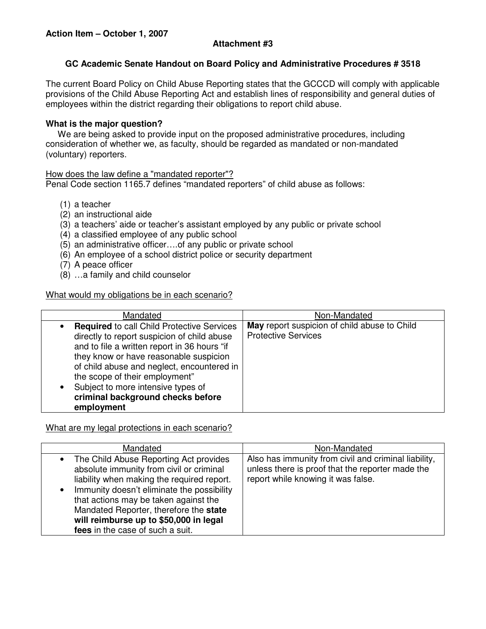## **GC Academic Senate Handout on Board Policy and Administrative Procedures # 3518**

The current Board Policy on Child Abuse Reporting states that the GCCCD will comply with applicable provisions of the Child Abuse Reporting Act and establish lines of responsibility and general duties of employees within the district regarding their obligations to report child abuse.

## **What is the major question?**

 We are being asked to provide input on the proposed administrative procedures, including consideration of whether we, as faculty, should be regarded as mandated or non-mandated (voluntary) reporters.

## How does the law define a "mandated reporter"?

Penal Code section 1165.7 defines "mandated reporters" of child abuse as follows:

- (1) a teacher
- (2) an instructional aide
- (3) a teachers' aide or teacher's assistant employed by any public or private school
- (4) a classified employee of any public school
- (5) an administrative officer….of any public or private school
- (6) An employee of a school district police or security department
- (7) A peace officer
- (8) …a family and child counselor

## What would my obligations be in each scenario?

| Mandated                                                                                                                                                                                                                                                                                                                                                                                      | Non-Mandated                                                               |
|-----------------------------------------------------------------------------------------------------------------------------------------------------------------------------------------------------------------------------------------------------------------------------------------------------------------------------------------------------------------------------------------------|----------------------------------------------------------------------------|
| <b>Required to call Child Protective Services</b><br>$\bullet$<br>directly to report suspicion of child abuse<br>and to file a written report in 36 hours "if<br>they know or have reasonable suspicion<br>of child abuse and neglect, encountered in<br>the scope of their employment"<br>Subject to more intensive types of<br>$\bullet$<br>criminal background checks before<br>employment | May report suspicion of child abuse to Child<br><b>Protective Services</b> |

What are my legal protections in each scenario?

| Mandated                                                                                                                                                                                                                                                                                                                                                                  | Non-Mandated                                                                                                                                   |
|---------------------------------------------------------------------------------------------------------------------------------------------------------------------------------------------------------------------------------------------------------------------------------------------------------------------------------------------------------------------------|------------------------------------------------------------------------------------------------------------------------------------------------|
| The Child Abuse Reporting Act provides<br>$\bullet$<br>absolute immunity from civil or criminal<br>liability when making the required report.<br>Immunity doesn't eliminate the possibility<br>$\bullet$<br>that actions may be taken against the<br>Mandated Reporter, therefore the state<br>will reimburse up to \$50,000 in legal<br>fees in the case of such a suit. | Also has immunity from civil and criminal liability,<br>unless there is proof that the reporter made the<br>report while knowing it was false. |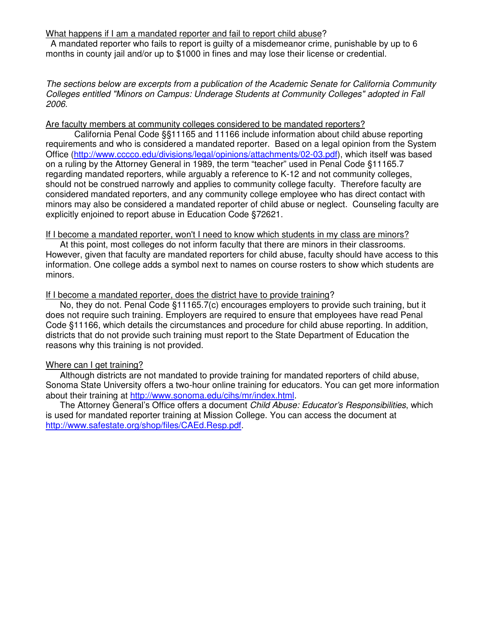#### What happens if I am a mandated reporter and fail to report child abuse?

 A mandated reporter who fails to report is guilty of a misdemeanor crime, punishable by up to 6 months in county jail and/or up to \$1000 in fines and may lose their license or credential.

The sections below are excerpts from a publication of the Academic Senate for California Community Colleges entitled "Minors on Campus: Underage Students at Community Colleges" adopted in Fall 2006.

#### Are faculty members at community colleges considered to be mandated reporters?

California Penal Code §§11165 and 11166 include information about child abuse reporting requirements and who is considered a mandated reporter. Based on a legal opinion from the System Office (http://www.cccco.edu/divisions/legal/opinions/attachments/02-03.pdf), which itself was based on a ruling by the Attorney General in 1989, the term "teacher" used in Penal Code §11165.7 regarding mandated reporters, while arguably a reference to K-12 and not community colleges, should not be construed narrowly and applies to community college faculty. Therefore faculty are considered mandated reporters, and any community college employee who has direct contact with minors may also be considered a mandated reporter of child abuse or neglect. Counseling faculty are explicitly enjoined to report abuse in Education Code §72621.

#### If I become a mandated reporter, won't I need to know which students in my class are minors?

 At this point, most colleges do not inform faculty that there are minors in their classrooms. However, given that faculty are mandated reporters for child abuse, faculty should have access to this information. One college adds a symbol next to names on course rosters to show which students are minors.

#### If I become a mandated reporter, does the district have to provide training?

 No, they do not. Penal Code §11165.7(c) encourages employers to provide such training, but it does not require such training. Employers are required to ensure that employees have read Penal Code §11166, which details the circumstances and procedure for child abuse reporting. In addition, districts that do not provide such training must report to the State Department of Education the reasons why this training is not provided.

## Where can I get training?

 Although districts are not mandated to provide training for mandated reporters of child abuse, Sonoma State University offers a two-hour online training for educators. You can get more information about their training at http://www.sonoma.edu/cihs/mr/index.html.

The Attorney General's Office offers a document Child Abuse: Educator's Responsibilities, which is used for mandated reporter training at Mission College. You can access the document at http://www.safestate.org/shop/files/CAEd.Resp.pdf.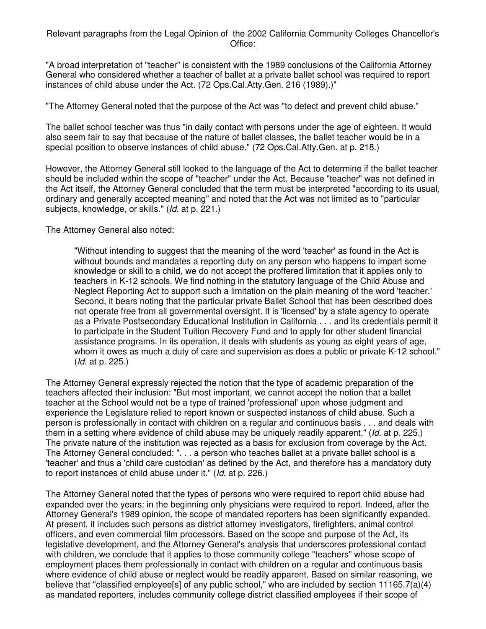#### Relevant paragraphs from the Legal Opinion of the 2002 California Community Colleges Chancellor's Office:

"A broad interpretation of "teacher" is consistent with the 1989 conclusions of the California Attorney General who considered whether a teacher of ballet at a private ballet school was required to report instances of child abuse under the Act. (72 Ops.Cal.Atty.Gen. 216 (1989).)"

"The Attorney General noted that the purpose of the Act was "to detect and prevent child abuse."

The ballet school teacher was thus "in daily contact with persons under the age of eighteen. It would also seem fair to say that because of the nature of ballet classes, the ballet teacher would be in a special position to observe instances of child abuse." (72 Ops.Cal.Atty.Gen. at p. 218.)

However, the Attorney General still looked to the language of the Act to determine if the ballet teacher should be included within the scope of "teacher" under the Act. Because "teacher" was not defined in the Act itself, the Attorney General concluded that the term must be interpreted "according to its usual, ordinary and generally accepted meaning" and noted that the Act was not limited as to "particular subjects, knowledge, or skills." (Id. at p. 221.)

The Attorney General also noted:

"Without intending to suggest that the meaning of the word 'teacher' as found in the Act is without bounds and mandates a reporting duty on any person who happens to impart some knowledge or skill to a child, we do not accept the proffered limitation that it applies only to teachers in K-12 schools. We find nothing in the statutory language of the Child Abuse and Neglect Reporting Act to support such a limitation on the plain meaning of the word 'teacher.' Second, it bears noting that the particular private Ballet School that has been described does not operate free from all governmental oversight. It is 'licensed' by a state agency to operate as a Private Postsecondary Educational Institution in California . . . and its credentials permit it to participate in the Student Tuition Recovery Fund and to apply for other student financial assistance programs. In its operation, it deals with students as young as eight years of age, whom it owes as much a duty of care and supervision as does a public or private K-12 school." (Id. at p. 225.)

The Attorney General expressly rejected the notion that the type of academic preparation of the teachers affected their inclusion: "But most important, we cannot accept the notion that a ballet teacher at the School would not be a type of trained 'professional' upon whose judgment and experience the Legislature relied to report known or suspected instances of child abuse. Such a person is professionally in contact with children on a regular and continuous basis . . . and deals with them in a setting where evidence of child abuse may be uniquely readily apparent." (Id. at p. 225.) The private nature of the institution was rejected as a basis for exclusion from coverage by the Act. The Attorney General concluded: ". . . a person who teaches ballet at a private ballet school is a 'teacher' and thus a 'child care custodian' as defined by the Act, and therefore has a mandatory duty to report instances of child abuse under it." (Id. at p. 226.)

The Attorney General noted that the types of persons who were required to report child abuse had expanded over the years: in the beginning only physicians were required to report. Indeed, after the Attorney General's 1989 opinion, the scope of mandated reporters has been significantly expanded. At present, it includes such persons as district attorney investigators, firefighters, animal control officers, and even commercial film processors. Based on the scope and purpose of the Act, its legislative development, and the Attorney General's analysis that underscores professional contact with children, we conclude that it applies to those community college "teachers" whose scope of employment places them professionally in contact with children on a regular and continuous basis where evidence of child abuse or neglect would be readily apparent. Based on similar reasoning, we believe that "classified employee[s] of any public school," who are included by section 11165.7(a)(4) as mandated reporters, includes community college district classified employees if their scope of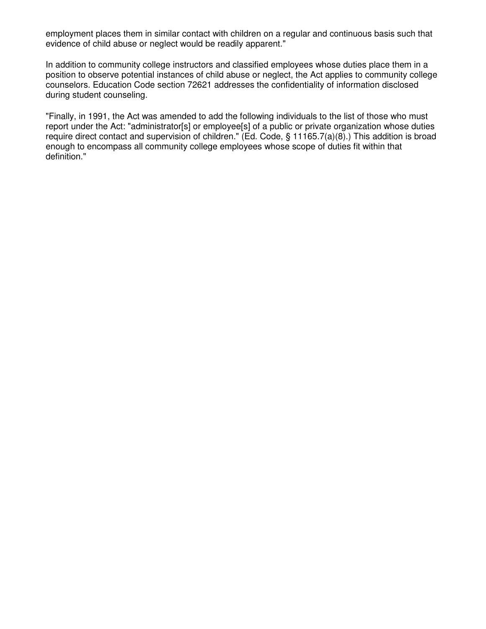employment places them in similar contact with children on a regular and continuous basis such that evidence of child abuse or neglect would be readily apparent."

In addition to community college instructors and classified employees whose duties place them in a position to observe potential instances of child abuse or neglect, the Act applies to community college counselors. Education Code section 72621 addresses the confidentiality of information disclosed during student counseling.

"Finally, in 1991, the Act was amended to add the following individuals to the list of those who must report under the Act: "administrator[s] or employee[s] of a public or private organization whose duties require direct contact and supervision of children." (Ed. Code, § 11165.7(a)(8).) This addition is broad enough to encompass all community college employees whose scope of duties fit within that definition."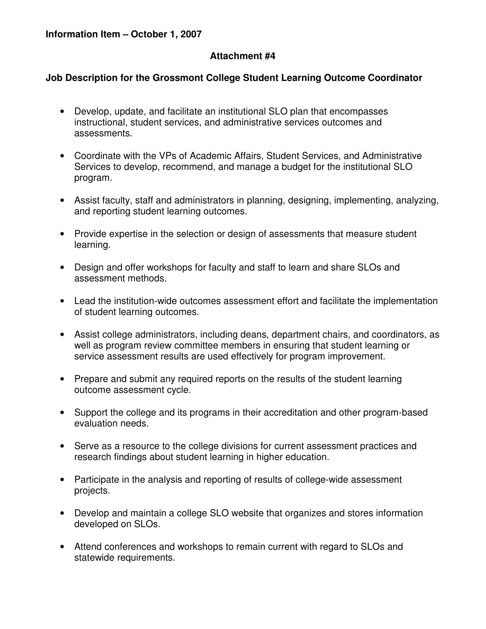## **Job Description for the Grossmont College Student Learning Outcome Coordinator**

- Develop, update, and facilitate an institutional SLO plan that encompasses instructional, student services, and administrative services outcomes and assessments.
- Coordinate with the VPs of Academic Affairs, Student Services, and Administrative Services to develop, recommend, and manage a budget for the institutional SLO program.
- Assist faculty, staff and administrators in planning, designing, implementing, analyzing, and reporting student learning outcomes.
- Provide expertise in the selection or design of assessments that measure student learning.
- Design and offer workshops for faculty and staff to learn and share SLOs and assessment methods.
- Lead the institution-wide outcomes assessment effort and facilitate the implementation of student learning outcomes.
- Assist college administrators, including deans, department chairs, and coordinators, as well as program review committee members in ensuring that student learning or service assessment results are used effectively for program improvement.
- Prepare and submit any required reports on the results of the student learning outcome assessment cycle.
- Support the college and its programs in their accreditation and other program-based evaluation needs.
- Serve as a resource to the college divisions for current assessment practices and research findings about student learning in higher education.
- Participate in the analysis and reporting of results of college-wide assessment projects.
- Develop and maintain a college SLO website that organizes and stores information developed on SLOs.
- Attend conferences and workshops to remain current with regard to SLOs and statewide requirements.